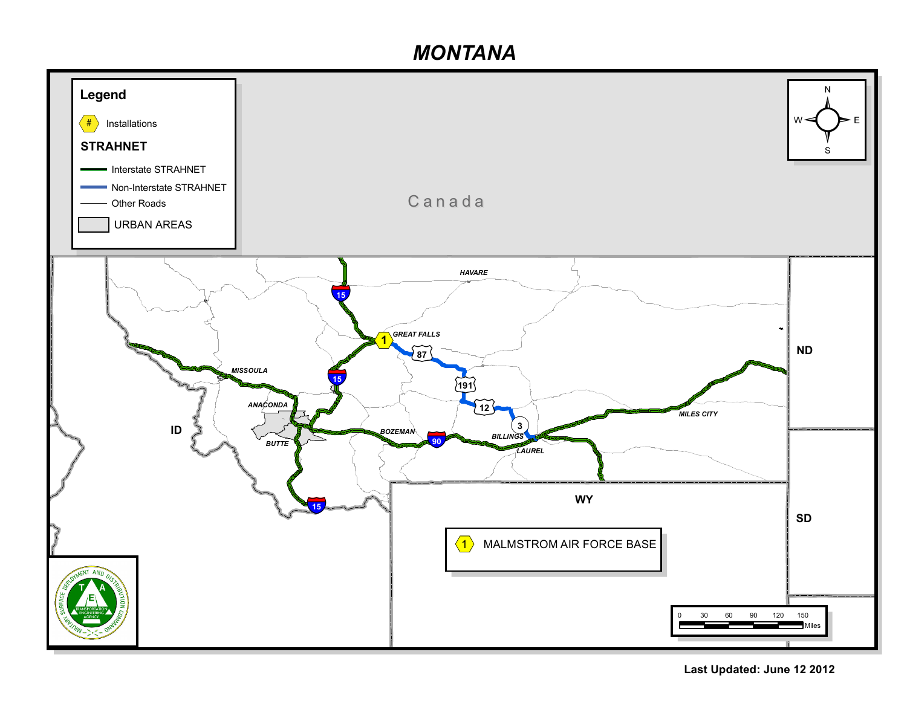## *MONTANA*



**Last Updated: June 12 2012**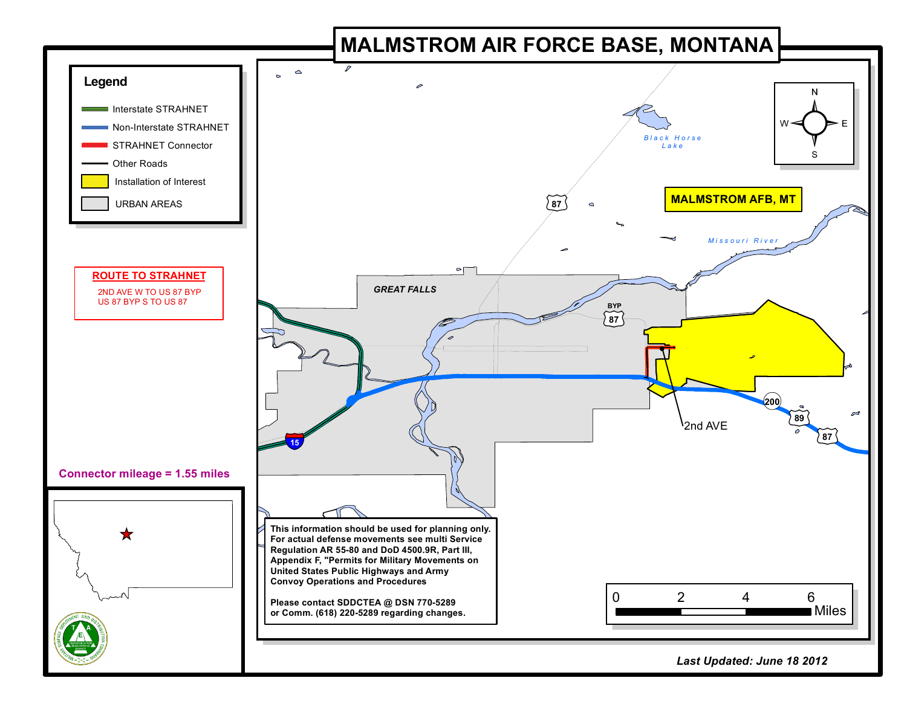